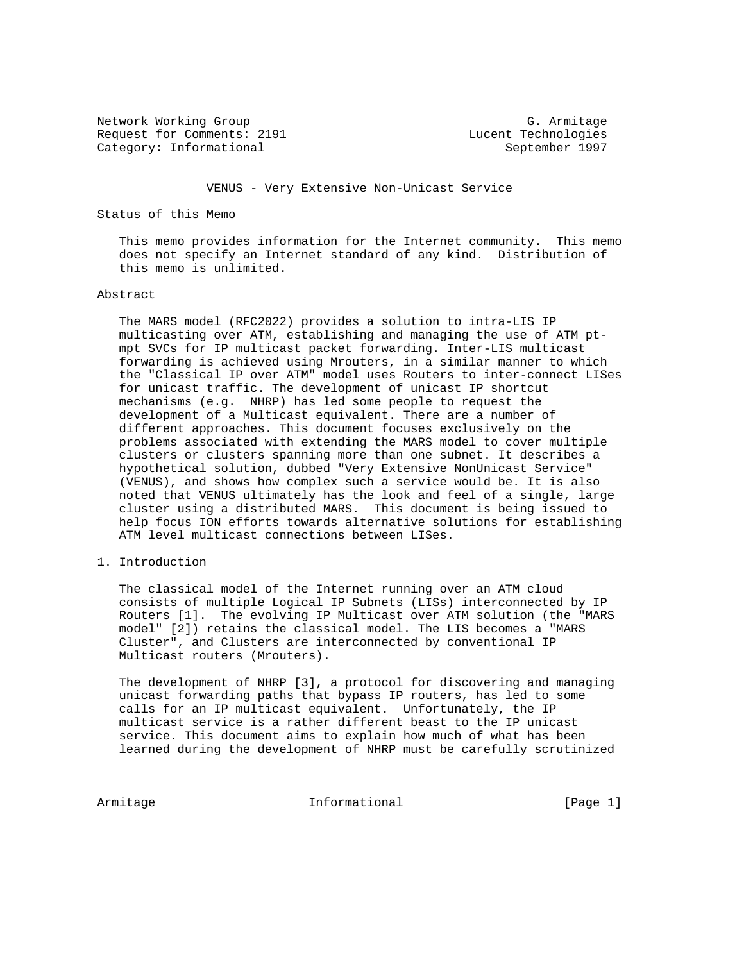Network Working Group and Community C. Armitage G. Armitage G. Armitage G. Armitage G. Armitage G. Armitage G. Armitage G. Armitage G. Armitage G. Armitage G. Armitage G. Armitage G. Armitage G. Armitage G. Armitage G. Arm Category: Informational September 1997

Lucent Technologies

VENUS - Very Extensive Non-Unicast Service

Status of this Memo

 This memo provides information for the Internet community. This memo does not specify an Internet standard of any kind. Distribution of this memo is unlimited.

#### Abstract

 The MARS model (RFC2022) provides a solution to intra-LIS IP multicasting over ATM, establishing and managing the use of ATM pt mpt SVCs for IP multicast packet forwarding. Inter-LIS multicast forwarding is achieved using Mrouters, in a similar manner to which the "Classical IP over ATM" model uses Routers to inter-connect LISes for unicast traffic. The development of unicast IP shortcut mechanisms (e.g. NHRP) has led some people to request the development of a Multicast equivalent. There are a number of different approaches. This document focuses exclusively on the problems associated with extending the MARS model to cover multiple clusters or clusters spanning more than one subnet. It describes a hypothetical solution, dubbed "Very Extensive NonUnicast Service" (VENUS), and shows how complex such a service would be. It is also noted that VENUS ultimately has the look and feel of a single, large cluster using a distributed MARS. This document is being issued to help focus ION efforts towards alternative solutions for establishing ATM level multicast connections between LISes.

1. Introduction

 The classical model of the Internet running over an ATM cloud consists of multiple Logical IP Subnets (LISs) interconnected by IP Routers [1]. The evolving IP Multicast over ATM solution (the "MARS model" [2]) retains the classical model. The LIS becomes a "MARS Cluster", and Clusters are interconnected by conventional IP Multicast routers (Mrouters).

 The development of NHRP [3], a protocol for discovering and managing unicast forwarding paths that bypass IP routers, has led to some calls for an IP multicast equivalent. Unfortunately, the IP multicast service is a rather different beast to the IP unicast service. This document aims to explain how much of what has been learned during the development of NHRP must be carefully scrutinized

Armitage 11 Informational 1999 [Page 1]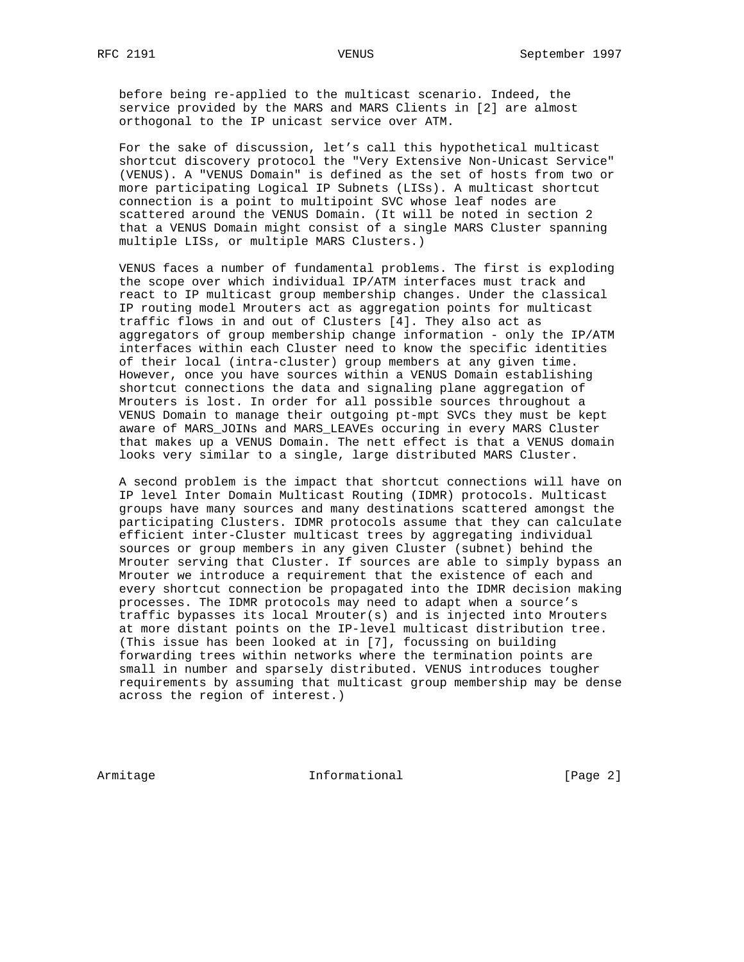before being re-applied to the multicast scenario. Indeed, the service provided by the MARS and MARS Clients in [2] are almost orthogonal to the IP unicast service over ATM.

 For the sake of discussion, let's call this hypothetical multicast shortcut discovery protocol the "Very Extensive Non-Unicast Service" (VENUS). A "VENUS Domain" is defined as the set of hosts from two or more participating Logical IP Subnets (LISs). A multicast shortcut connection is a point to multipoint SVC whose leaf nodes are scattered around the VENUS Domain. (It will be noted in section 2 that a VENUS Domain might consist of a single MARS Cluster spanning multiple LISs, or multiple MARS Clusters.)

 VENUS faces a number of fundamental problems. The first is exploding the scope over which individual IP/ATM interfaces must track and react to IP multicast group membership changes. Under the classical IP routing model Mrouters act as aggregation points for multicast traffic flows in and out of Clusters [4]. They also act as aggregators of group membership change information - only the IP/ATM interfaces within each Cluster need to know the specific identities of their local (intra-cluster) group members at any given time. However, once you have sources within a VENUS Domain establishing shortcut connections the data and signaling plane aggregation of Mrouters is lost. In order for all possible sources throughout a VENUS Domain to manage their outgoing pt-mpt SVCs they must be kept aware of MARS\_JOINs and MARS\_LEAVEs occuring in every MARS Cluster that makes up a VENUS Domain. The nett effect is that a VENUS domain looks very similar to a single, large distributed MARS Cluster.

 A second problem is the impact that shortcut connections will have on IP level Inter Domain Multicast Routing (IDMR) protocols. Multicast groups have many sources and many destinations scattered amongst the participating Clusters. IDMR protocols assume that they can calculate efficient inter-Cluster multicast trees by aggregating individual sources or group members in any given Cluster (subnet) behind the Mrouter serving that Cluster. If sources are able to simply bypass an Mrouter we introduce a requirement that the existence of each and every shortcut connection be propagated into the IDMR decision making processes. The IDMR protocols may need to adapt when a source's traffic bypasses its local Mrouter(s) and is injected into Mrouters at more distant points on the IP-level multicast distribution tree. (This issue has been looked at in [7], focussing on building forwarding trees within networks where the termination points are small in number and sparsely distributed. VENUS introduces tougher requirements by assuming that multicast group membership may be dense across the region of interest.)

Armitage 1.1 Informational 1.1 (Page 2)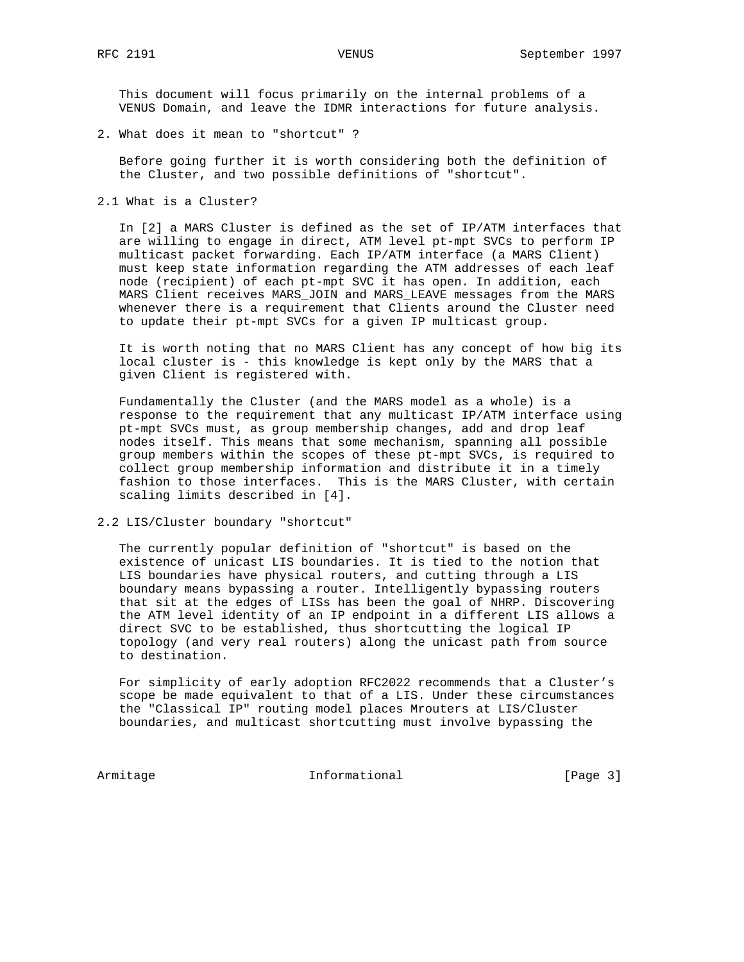This document will focus primarily on the internal problems of a VENUS Domain, and leave the IDMR interactions for future analysis.

2. What does it mean to "shortcut" ?

 Before going further it is worth considering both the definition of the Cluster, and two possible definitions of "shortcut".

2.1 What is a Cluster?

 In [2] a MARS Cluster is defined as the set of IP/ATM interfaces that are willing to engage in direct, ATM level pt-mpt SVCs to perform IP multicast packet forwarding. Each IP/ATM interface (a MARS Client) must keep state information regarding the ATM addresses of each leaf node (recipient) of each pt-mpt SVC it has open. In addition, each MARS Client receives MARS\_JOIN and MARS\_LEAVE messages from the MARS whenever there is a requirement that Clients around the Cluster need to update their pt-mpt SVCs for a given IP multicast group.

 It is worth noting that no MARS Client has any concept of how big its local cluster is - this knowledge is kept only by the MARS that a given Client is registered with.

 Fundamentally the Cluster (and the MARS model as a whole) is a response to the requirement that any multicast IP/ATM interface using pt-mpt SVCs must, as group membership changes, add and drop leaf nodes itself. This means that some mechanism, spanning all possible group members within the scopes of these pt-mpt SVCs, is required to collect group membership information and distribute it in a timely fashion to those interfaces. This is the MARS Cluster, with certain scaling limits described in [4].

2.2 LIS/Cluster boundary "shortcut"

 The currently popular definition of "shortcut" is based on the existence of unicast LIS boundaries. It is tied to the notion that LIS boundaries have physical routers, and cutting through a LIS boundary means bypassing a router. Intelligently bypassing routers that sit at the edges of LISs has been the goal of NHRP. Discovering the ATM level identity of an IP endpoint in a different LIS allows a direct SVC to be established, thus shortcutting the logical IP topology (and very real routers) along the unicast path from source to destination.

 For simplicity of early adoption RFC2022 recommends that a Cluster's scope be made equivalent to that of a LIS. Under these circumstances the "Classical IP" routing model places Mrouters at LIS/Cluster boundaries, and multicast shortcutting must involve bypassing the

Armitage Informational [Page 3]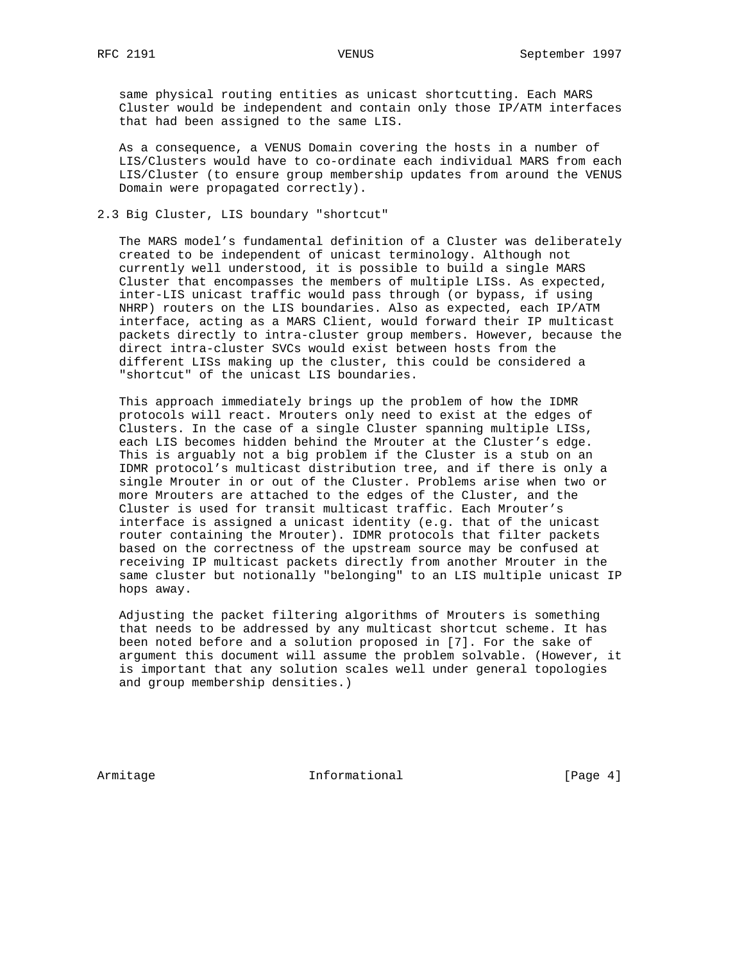same physical routing entities as unicast shortcutting. Each MARS Cluster would be independent and contain only those IP/ATM interfaces that had been assigned to the same LIS.

 As a consequence, a VENUS Domain covering the hosts in a number of LIS/Clusters would have to co-ordinate each individual MARS from each LIS/Cluster (to ensure group membership updates from around the VENUS Domain were propagated correctly).

## 2.3 Big Cluster, LIS boundary "shortcut"

 The MARS model's fundamental definition of a Cluster was deliberately created to be independent of unicast terminology. Although not currently well understood, it is possible to build a single MARS Cluster that encompasses the members of multiple LISs. As expected, inter-LIS unicast traffic would pass through (or bypass, if using NHRP) routers on the LIS boundaries. Also as expected, each IP/ATM interface, acting as a MARS Client, would forward their IP multicast packets directly to intra-cluster group members. However, because the direct intra-cluster SVCs would exist between hosts from the different LISs making up the cluster, this could be considered a "shortcut" of the unicast LIS boundaries.

 This approach immediately brings up the problem of how the IDMR protocols will react. Mrouters only need to exist at the edges of Clusters. In the case of a single Cluster spanning multiple LISs, each LIS becomes hidden behind the Mrouter at the Cluster's edge. This is arguably not a big problem if the Cluster is a stub on an IDMR protocol's multicast distribution tree, and if there is only a single Mrouter in or out of the Cluster. Problems arise when two or more Mrouters are attached to the edges of the Cluster, and the Cluster is used for transit multicast traffic. Each Mrouter's interface is assigned a unicast identity (e.g. that of the unicast router containing the Mrouter). IDMR protocols that filter packets based on the correctness of the upstream source may be confused at receiving IP multicast packets directly from another Mrouter in the same cluster but notionally "belonging" to an LIS multiple unicast IP hops away.

 Adjusting the packet filtering algorithms of Mrouters is something that needs to be addressed by any multicast shortcut scheme. It has been noted before and a solution proposed in [7]. For the sake of argument this document will assume the problem solvable. (However, it is important that any solution scales well under general topologies and group membership densities.)

Armitage 1.1 Informational 1.1 [Page 4]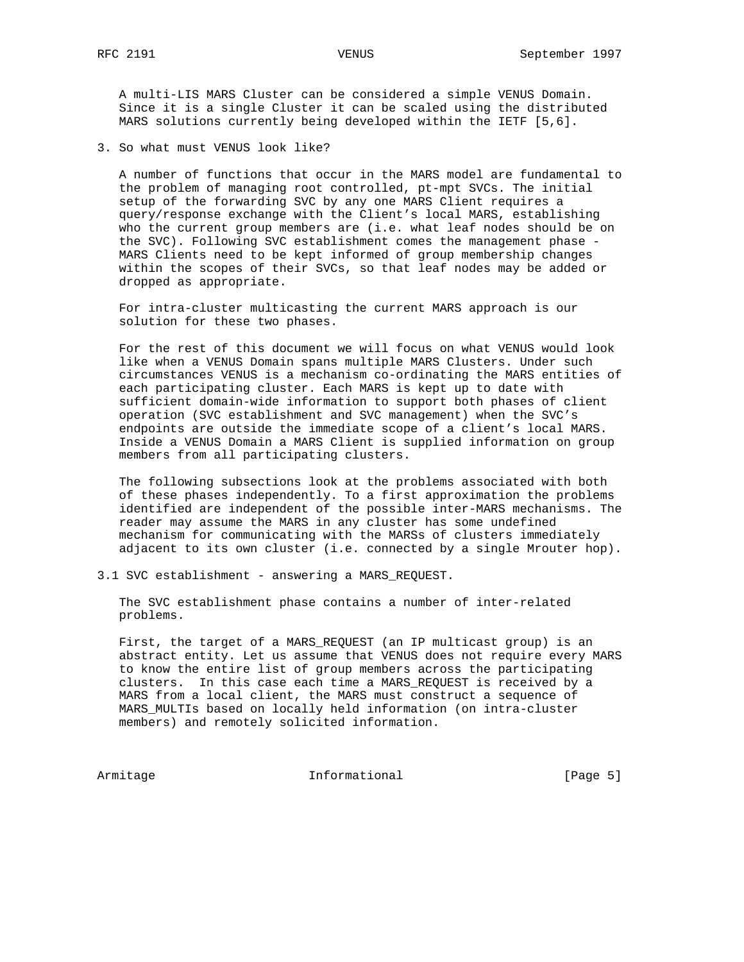A multi-LIS MARS Cluster can be considered a simple VENUS Domain. Since it is a single Cluster it can be scaled using the distributed MARS solutions currently being developed within the IETF [5,6].

3. So what must VENUS look like?

 A number of functions that occur in the MARS model are fundamental to the problem of managing root controlled, pt-mpt SVCs. The initial setup of the forwarding SVC by any one MARS Client requires a query/response exchange with the Client's local MARS, establishing who the current group members are (i.e. what leaf nodes should be on the SVC). Following SVC establishment comes the management phase - MARS Clients need to be kept informed of group membership changes within the scopes of their SVCs, so that leaf nodes may be added or dropped as appropriate.

 For intra-cluster multicasting the current MARS approach is our solution for these two phases.

 For the rest of this document we will focus on what VENUS would look like when a VENUS Domain spans multiple MARS Clusters. Under such circumstances VENUS is a mechanism co-ordinating the MARS entities of each participating cluster. Each MARS is kept up to date with sufficient domain-wide information to support both phases of client operation (SVC establishment and SVC management) when the SVC's endpoints are outside the immediate scope of a client's local MARS. Inside a VENUS Domain a MARS Client is supplied information on group members from all participating clusters.

 The following subsections look at the problems associated with both of these phases independently. To a first approximation the problems identified are independent of the possible inter-MARS mechanisms. The reader may assume the MARS in any cluster has some undefined mechanism for communicating with the MARSs of clusters immediately adjacent to its own cluster (i.e. connected by a single Mrouter hop).

3.1 SVC establishment - answering a MARS\_REQUEST.

 The SVC establishment phase contains a number of inter-related problems.

 First, the target of a MARS\_REQUEST (an IP multicast group) is an abstract entity. Let us assume that VENUS does not require every MARS to know the entire list of group members across the participating clusters. In this case each time a MARS\_REQUEST is received by a MARS from a local client, the MARS must construct a sequence of MARS\_MULTIs based on locally held information (on intra-cluster members) and remotely solicited information.

Armitage Informational [Page 5]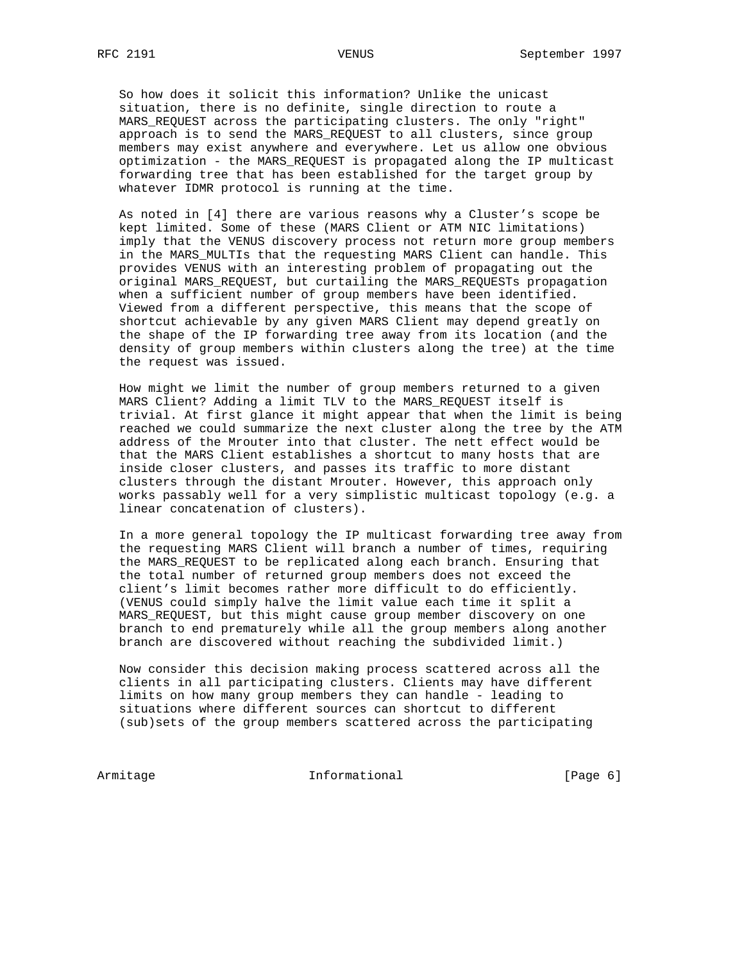So how does it solicit this information? Unlike the unicast situation, there is no definite, single direction to route a MARS\_REQUEST across the participating clusters. The only "right" approach is to send the MARS\_REQUEST to all clusters, since group members may exist anywhere and everywhere. Let us allow one obvious optimization - the MARS\_REQUEST is propagated along the IP multicast forwarding tree that has been established for the target group by whatever IDMR protocol is running at the time.

 As noted in [4] there are various reasons why a Cluster's scope be kept limited. Some of these (MARS Client or ATM NIC limitations) imply that the VENUS discovery process not return more group members in the MARS MULTIs that the requesting MARS Client can handle. This provides VENUS with an interesting problem of propagating out the original MARS\_REQUEST, but curtailing the MARS\_REQUESTs propagation when a sufficient number of group members have been identified. Viewed from a different perspective, this means that the scope of shortcut achievable by any given MARS Client may depend greatly on the shape of the IP forwarding tree away from its location (and the density of group members within clusters along the tree) at the time the request was issued.

 How might we limit the number of group members returned to a given MARS Client? Adding a limit TLV to the MARS\_REQUEST itself is trivial. At first glance it might appear that when the limit is being reached we could summarize the next cluster along the tree by the ATM address of the Mrouter into that cluster. The nett effect would be that the MARS Client establishes a shortcut to many hosts that are inside closer clusters, and passes its traffic to more distant clusters through the distant Mrouter. However, this approach only works passably well for a very simplistic multicast topology (e.g. a linear concatenation of clusters).

 In a more general topology the IP multicast forwarding tree away from the requesting MARS Client will branch a number of times, requiring the MARS\_REQUEST to be replicated along each branch. Ensuring that the total number of returned group members does not exceed the client's limit becomes rather more difficult to do efficiently. (VENUS could simply halve the limit value each time it split a MARS\_REQUEST, but this might cause group member discovery on one branch to end prematurely while all the group members along another branch are discovered without reaching the subdivided limit.)

 Now consider this decision making process scattered across all the clients in all participating clusters. Clients may have different limits on how many group members they can handle - leading to situations where different sources can shortcut to different (sub)sets of the group members scattered across the participating

Armitage Informational [Page 6]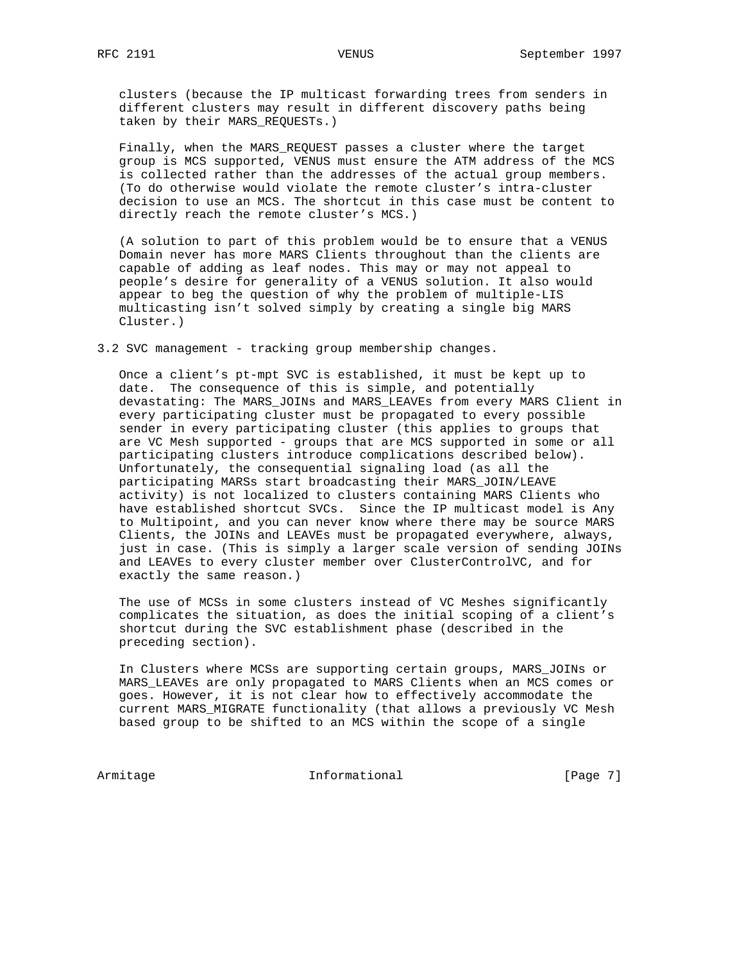clusters (because the IP multicast forwarding trees from senders in different clusters may result in different discovery paths being taken by their MARS\_REQUESTs.)

 Finally, when the MARS\_REQUEST passes a cluster where the target group is MCS supported, VENUS must ensure the ATM address of the MCS is collected rather than the addresses of the actual group members. (To do otherwise would violate the remote cluster's intra-cluster decision to use an MCS. The shortcut in this case must be content to directly reach the remote cluster's MCS.)

 (A solution to part of this problem would be to ensure that a VENUS Domain never has more MARS Clients throughout than the clients are capable of adding as leaf nodes. This may or may not appeal to people's desire for generality of a VENUS solution. It also would appear to beg the question of why the problem of multiple-LIS multicasting isn't solved simply by creating a single big MARS Cluster.)

3.2 SVC management - tracking group membership changes.

 Once a client's pt-mpt SVC is established, it must be kept up to date. The consequence of this is simple, and potentially devastating: The MARS\_JOINs and MARS\_LEAVEs from every MARS Client in every participating cluster must be propagated to every possible sender in every participating cluster (this applies to groups that are VC Mesh supported - groups that are MCS supported in some or all participating clusters introduce complications described below). Unfortunately, the consequential signaling load (as all the participating MARSs start broadcasting their MARS\_JOIN/LEAVE activity) is not localized to clusters containing MARS Clients who have established shortcut SVCs. Since the IP multicast model is Any to Multipoint, and you can never know where there may be source MARS Clients, the JOINs and LEAVEs must be propagated everywhere, always, just in case. (This is simply a larger scale version of sending JOINs and LEAVEs to every cluster member over ClusterControlVC, and for exactly the same reason.)

 The use of MCSs in some clusters instead of VC Meshes significantly complicates the situation, as does the initial scoping of a client's shortcut during the SVC establishment phase (described in the preceding section).

 In Clusters where MCSs are supporting certain groups, MARS\_JOINs or MARS\_LEAVEs are only propagated to MARS Clients when an MCS comes or goes. However, it is not clear how to effectively accommodate the current MARS\_MIGRATE functionality (that allows a previously VC Mesh based group to be shifted to an MCS within the scope of a single

Armitage Informational [Page 7]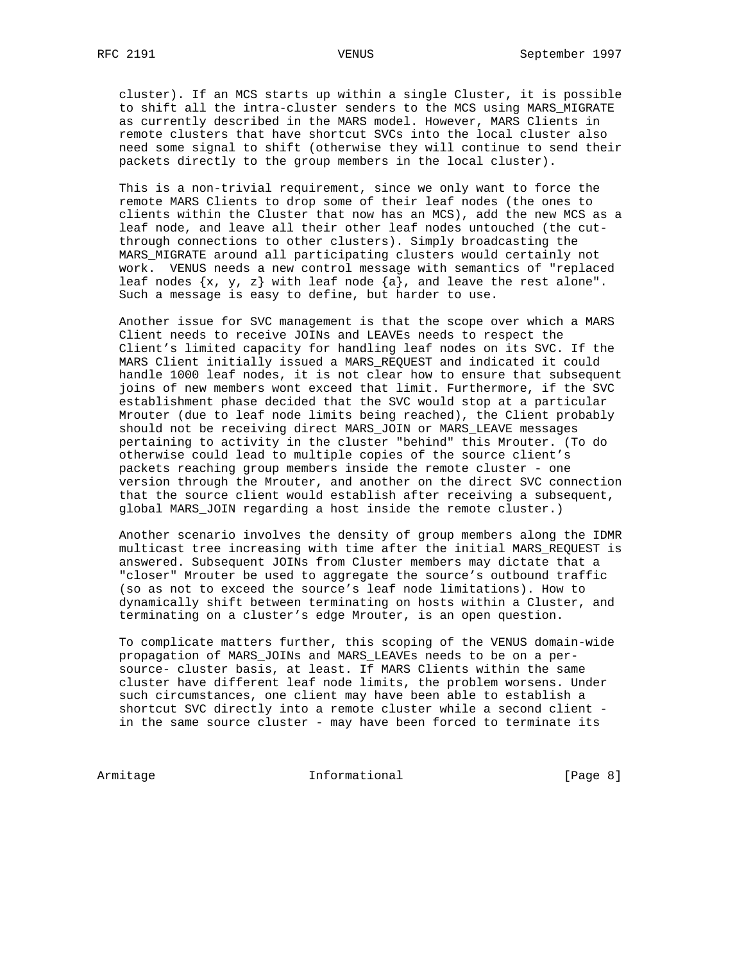cluster). If an MCS starts up within a single Cluster, it is possible to shift all the intra-cluster senders to the MCS using MARS\_MIGRATE as currently described in the MARS model. However, MARS Clients in remote clusters that have shortcut SVCs into the local cluster also need some signal to shift (otherwise they will continue to send their packets directly to the group members in the local cluster).

 This is a non-trivial requirement, since we only want to force the remote MARS Clients to drop some of their leaf nodes (the ones to clients within the Cluster that now has an MCS), add the new MCS as a leaf node, and leave all their other leaf nodes untouched (the cut through connections to other clusters). Simply broadcasting the MARS\_MIGRATE around all participating clusters would certainly not work. VENUS needs a new control message with semantics of "replaced leaf nodes  $\{x, y, z\}$  with leaf node  $\{a\}$ , and leave the rest alone". Such a message is easy to define, but harder to use.

 Another issue for SVC management is that the scope over which a MARS Client needs to receive JOINs and LEAVEs needs to respect the Client's limited capacity for handling leaf nodes on its SVC. If the MARS Client initially issued a MARS\_REQUEST and indicated it could handle 1000 leaf nodes, it is not clear how to ensure that subsequent joins of new members wont exceed that limit. Furthermore, if the SVC establishment phase decided that the SVC would stop at a particular Mrouter (due to leaf node limits being reached), the Client probably should not be receiving direct MARS\_JOIN or MARS\_LEAVE messages pertaining to activity in the cluster "behind" this Mrouter. (To do otherwise could lead to multiple copies of the source client's packets reaching group members inside the remote cluster - one version through the Mrouter, and another on the direct SVC connection that the source client would establish after receiving a subsequent, global MARS\_JOIN regarding a host inside the remote cluster.)

 Another scenario involves the density of group members along the IDMR multicast tree increasing with time after the initial MARS\_REQUEST is answered. Subsequent JOINs from Cluster members may dictate that a "closer" Mrouter be used to aggregate the source's outbound traffic (so as not to exceed the source's leaf node limitations). How to dynamically shift between terminating on hosts within a Cluster, and terminating on a cluster's edge Mrouter, is an open question.

 To complicate matters further, this scoping of the VENUS domain-wide propagation of MARS\_JOINs and MARS\_LEAVEs needs to be on a per source- cluster basis, at least. If MARS Clients within the same cluster have different leaf node limits, the problem worsens. Under such circumstances, one client may have been able to establish a shortcut SVC directly into a remote cluster while a second client in the same source cluster - may have been forced to terminate its

Armitage Informational [Page 8]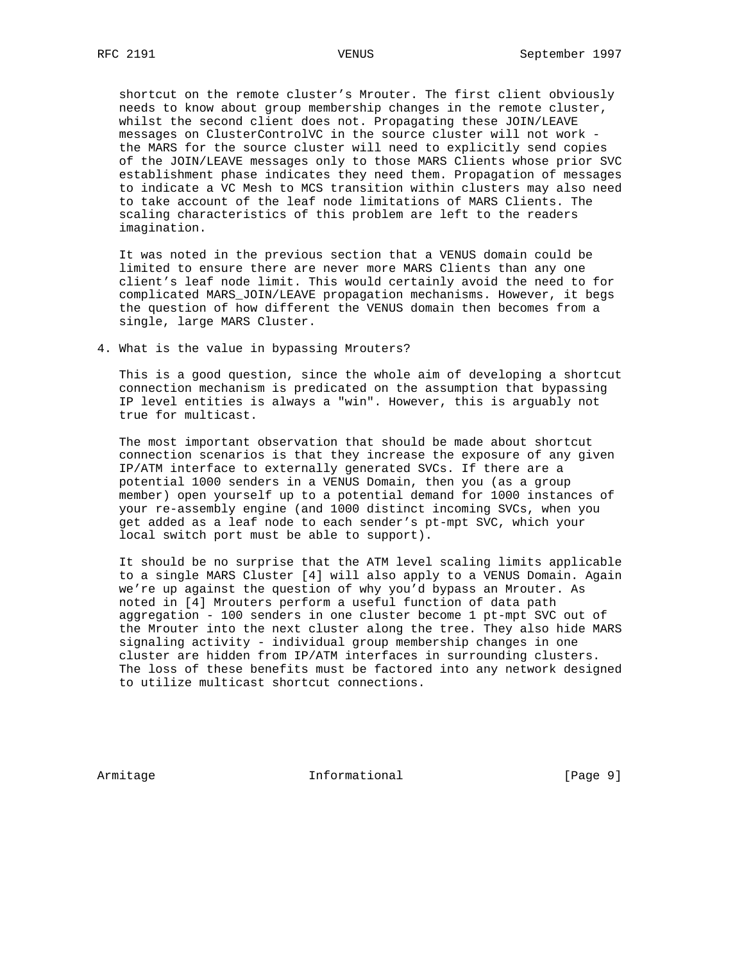shortcut on the remote cluster's Mrouter. The first client obviously needs to know about group membership changes in the remote cluster, whilst the second client does not. Propagating these JOIN/LEAVE messages on ClusterControlVC in the source cluster will not work the MARS for the source cluster will need to explicitly send copies of the JOIN/LEAVE messages only to those MARS Clients whose prior SVC establishment phase indicates they need them. Propagation of messages to indicate a VC Mesh to MCS transition within clusters may also need to take account of the leaf node limitations of MARS Clients. The scaling characteristics of this problem are left to the readers imagination.

 It was noted in the previous section that a VENUS domain could be limited to ensure there are never more MARS Clients than any one client's leaf node limit. This would certainly avoid the need to for complicated MARS\_JOIN/LEAVE propagation mechanisms. However, it begs the question of how different the VENUS domain then becomes from a single, large MARS Cluster.

4. What is the value in bypassing Mrouters?

 This is a good question, since the whole aim of developing a shortcut connection mechanism is predicated on the assumption that bypassing IP level entities is always a "win". However, this is arguably not true for multicast.

 The most important observation that should be made about shortcut connection scenarios is that they increase the exposure of any given IP/ATM interface to externally generated SVCs. If there are a potential 1000 senders in a VENUS Domain, then you (as a group member) open yourself up to a potential demand for 1000 instances of your re-assembly engine (and 1000 distinct incoming SVCs, when you get added as a leaf node to each sender's pt-mpt SVC, which your local switch port must be able to support).

 It should be no surprise that the ATM level scaling limits applicable to a single MARS Cluster [4] will also apply to a VENUS Domain. Again we're up against the question of why you'd bypass an Mrouter. As noted in [4] Mrouters perform a useful function of data path aggregation - 100 senders in one cluster become 1 pt-mpt SVC out of the Mrouter into the next cluster along the tree. They also hide MARS signaling activity - individual group membership changes in one cluster are hidden from IP/ATM interfaces in surrounding clusters. The loss of these benefits must be factored into any network designed to utilize multicast shortcut connections.

Armitage 1.1 Informational 1.1 [Page 9]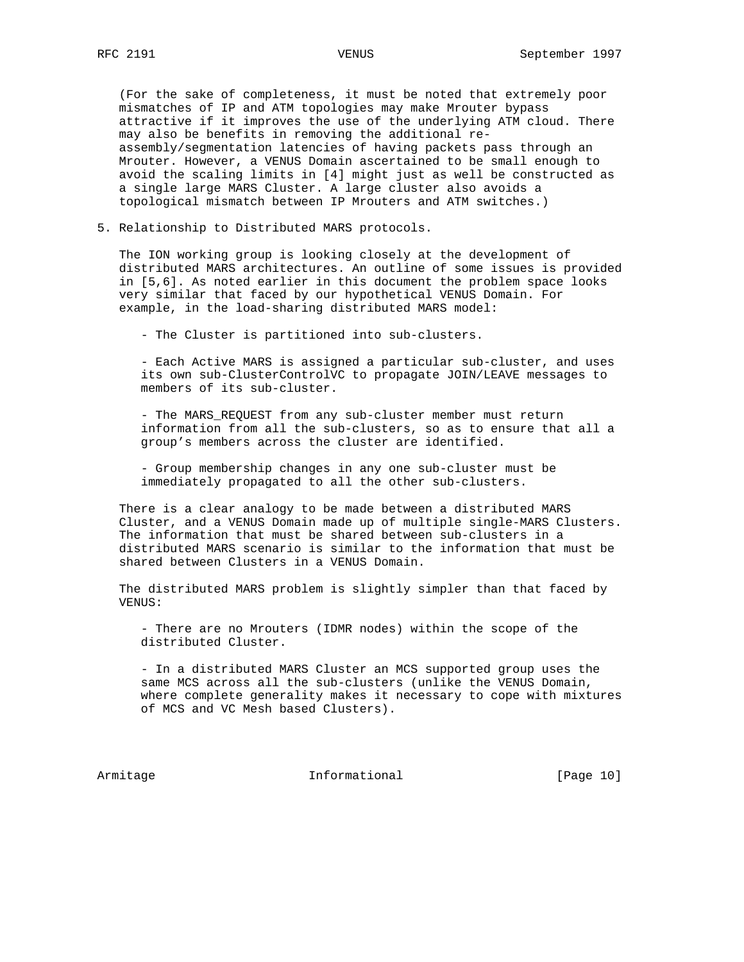(For the sake of completeness, it must be noted that extremely poor mismatches of IP and ATM topologies may make Mrouter bypass attractive if it improves the use of the underlying ATM cloud. There may also be benefits in removing the additional re assembly/segmentation latencies of having packets pass through an Mrouter. However, a VENUS Domain ascertained to be small enough to avoid the scaling limits in [4] might just as well be constructed as a single large MARS Cluster. A large cluster also avoids a topological mismatch between IP Mrouters and ATM switches.)

5. Relationship to Distributed MARS protocols.

 The ION working group is looking closely at the development of distributed MARS architectures. An outline of some issues is provided in [5,6]. As noted earlier in this document the problem space looks very similar that faced by our hypothetical VENUS Domain. For example, in the load-sharing distributed MARS model:

- The Cluster is partitioned into sub-clusters.

 - Each Active MARS is assigned a particular sub-cluster, and uses its own sub-ClusterControlVC to propagate JOIN/LEAVE messages to members of its sub-cluster.

 - The MARS\_REQUEST from any sub-cluster member must return information from all the sub-clusters, so as to ensure that all a group's members across the cluster are identified.

 - Group membership changes in any one sub-cluster must be immediately propagated to all the other sub-clusters.

 There is a clear analogy to be made between a distributed MARS Cluster, and a VENUS Domain made up of multiple single-MARS Clusters. The information that must be shared between sub-clusters in a distributed MARS scenario is similar to the information that must be shared between Clusters in a VENUS Domain.

 The distributed MARS problem is slightly simpler than that faced by VENUS:

 - There are no Mrouters (IDMR nodes) within the scope of the distributed Cluster.

 - In a distributed MARS Cluster an MCS supported group uses the same MCS across all the sub-clusters (unlike the VENUS Domain, where complete generality makes it necessary to cope with mixtures of MCS and VC Mesh based Clusters).

Armitage **Informational** [Page 10]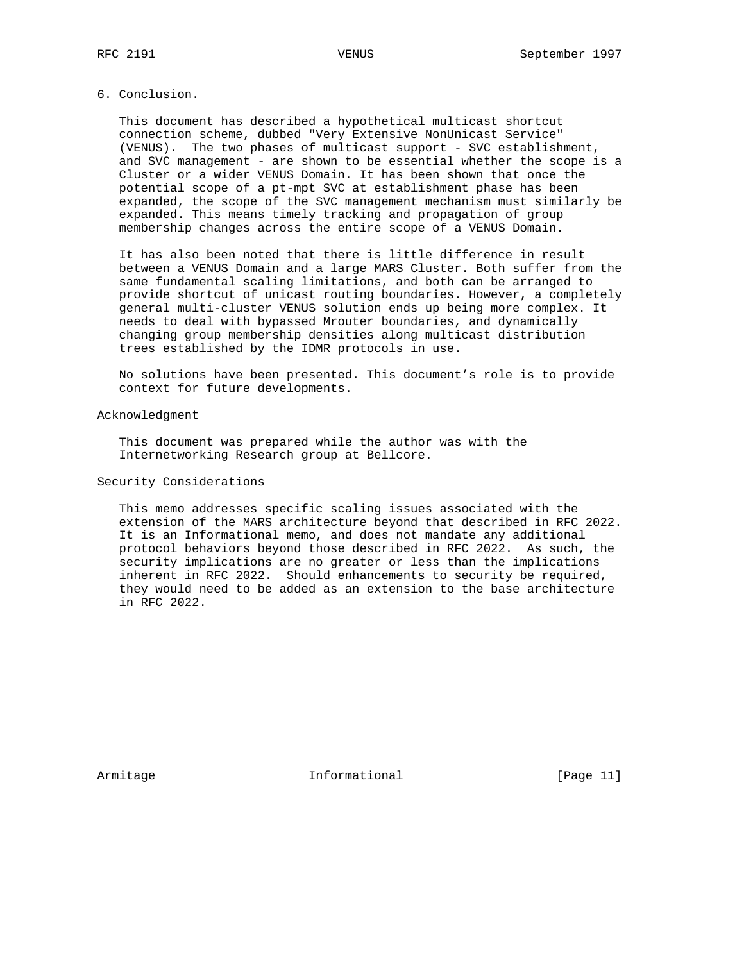#### 6. Conclusion.

 This document has described a hypothetical multicast shortcut connection scheme, dubbed "Very Extensive NonUnicast Service" (VENUS). The two phases of multicast support - SVC establishment, and SVC management - are shown to be essential whether the scope is a Cluster or a wider VENUS Domain. It has been shown that once the potential scope of a pt-mpt SVC at establishment phase has been expanded, the scope of the SVC management mechanism must similarly be expanded. This means timely tracking and propagation of group membership changes across the entire scope of a VENUS Domain.

 It has also been noted that there is little difference in result between a VENUS Domain and a large MARS Cluster. Both suffer from the same fundamental scaling limitations, and both can be arranged to provide shortcut of unicast routing boundaries. However, a completely general multi-cluster VENUS solution ends up being more complex. It needs to deal with bypassed Mrouter boundaries, and dynamically changing group membership densities along multicast distribution trees established by the IDMR protocols in use.

 No solutions have been presented. This document's role is to provide context for future developments.

# Acknowledgment

 This document was prepared while the author was with the Internetworking Research group at Bellcore.

### Security Considerations

 This memo addresses specific scaling issues associated with the extension of the MARS architecture beyond that described in RFC 2022. It is an Informational memo, and does not mandate any additional protocol behaviors beyond those described in RFC 2022. As such, the security implications are no greater or less than the implications inherent in RFC 2022. Should enhancements to security be required, they would need to be added as an extension to the base architecture in RFC 2022.

Armitage 11 Informational [Page 11]